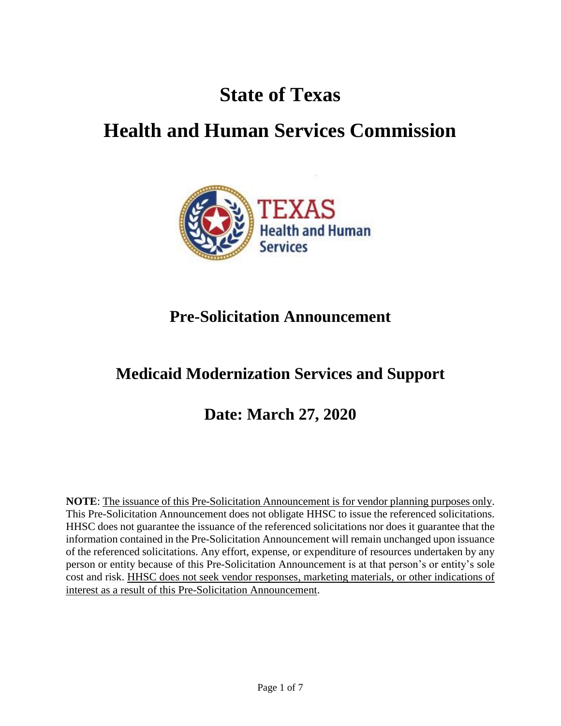# **State of Texas**

# **Health and Human Services Commission**



## **Pre-Solicitation Announcement**

## **Medicaid Modernization Services and Support**

## **Date: March 27, 2020**

**NOTE**: The issuance of this Pre-Solicitation Announcement is for vendor planning purposes only. This Pre-Solicitation Announcement does not obligate HHSC to issue the referenced solicitations. HHSC does not guarantee the issuance of the referenced solicitations nor does it guarantee that the information contained in the Pre-Solicitation Announcement will remain unchanged upon issuance of the referenced solicitations. Any effort, expense, or expenditure of resources undertaken by any person or entity because of this Pre-Solicitation Announcement is at that person's or entity's sole cost and risk. HHSC does not seek vendor responses, marketing materials, or other indications of interest as a result of this Pre-Solicitation Announcement.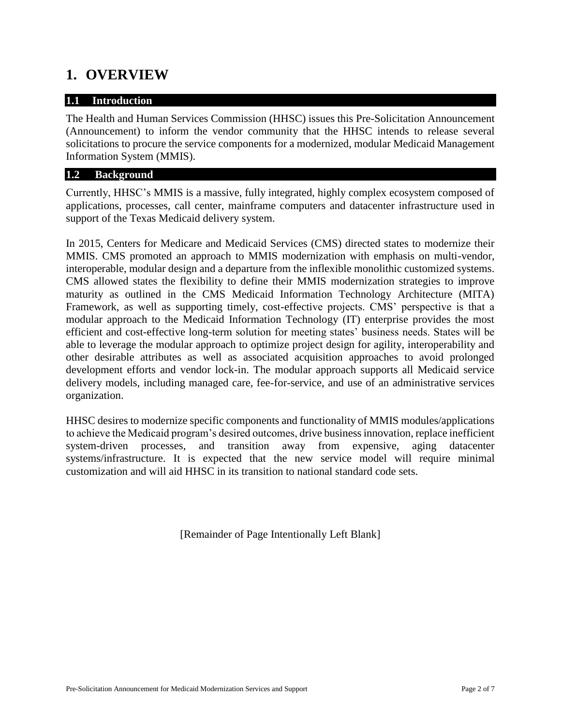### **1. OVERVIEW**

#### **1.1 Introduction**

The Health and Human Services Commission (HHSC) issues this Pre-Solicitation Announcement (Announcement) to inform the vendor community that the HHSC intends to release several solicitations to procure the service components for a modernized, modular Medicaid Management Information System (MMIS).

#### **1.2 Background**

Currently, HHSC's MMIS is a massive, fully integrated, highly complex ecosystem composed of applications, processes, call center, mainframe computers and datacenter infrastructure used in support of the Texas Medicaid delivery system.

In 2015, Centers for Medicare and Medicaid Services (CMS) directed states to modernize their MMIS. CMS promoted an approach to MMIS modernization with emphasis on multi-vendor, interoperable, modular design and a departure from the inflexible monolithic customized systems. CMS allowed states the flexibility to define their MMIS modernization strategies to improve maturity as outlined in the CMS Medicaid Information Technology Architecture (MITA) Framework, as well as supporting timely, cost-effective projects. CMS' perspective is that a modular approach to the Medicaid Information Technology (IT) enterprise provides the most efficient and cost-effective long-term solution for meeting states' business needs. States will be able to leverage the modular approach to optimize project design for agility, interoperability and other desirable attributes as well as associated acquisition approaches to avoid prolonged development efforts and vendor lock-in. The modular approach supports all Medicaid service delivery models, including managed care, fee-for-service, and use of an administrative services organization.

HHSC desires to modernize specific components and functionality of MMIS modules/applications to achieve the Medicaid program's desired outcomes, drive business innovation, replace inefficient system-driven processes, and transition away from expensive, aging datacenter systems/infrastructure. It is expected that the new service model will require minimal customization and will aid HHSC in its transition to national standard code sets.

[Remainder of Page Intentionally Left Blank]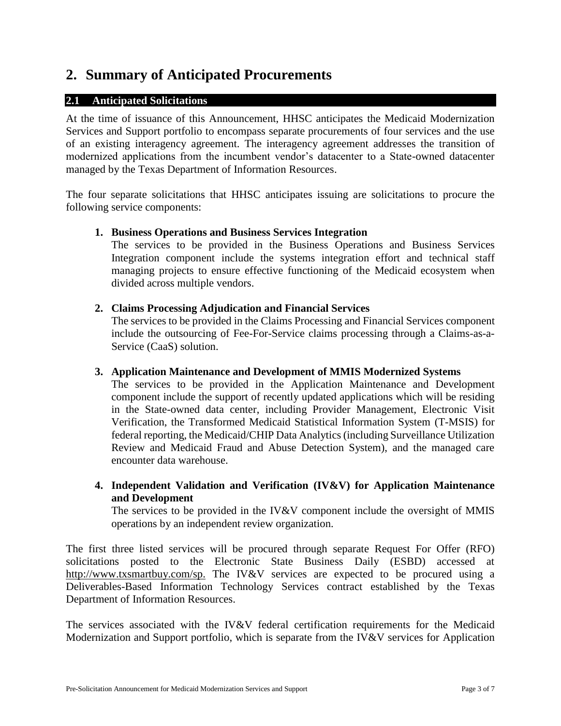### **2. Summary of Anticipated Procurements**

#### **2.1 Anticipated Solicitations**

At the time of issuance of this Announcement, HHSC anticipates the Medicaid Modernization Services and Support portfolio to encompass separate procurements of four services and the use of an existing interagency agreement. The interagency agreement addresses the transition of modernized applications from the incumbent vendor's datacenter to a State-owned datacenter managed by the Texas Department of Information Resources.

The four separate solicitations that HHSC anticipates issuing are solicitations to procure the following service components:

#### **1. Business Operations and Business Services Integration**

The services to be provided in the Business Operations and Business Services Integration component include the systems integration effort and technical staff managing projects to ensure effective functioning of the Medicaid ecosystem when divided across multiple vendors.

#### **2. Claims Processing Adjudication and Financial Services**

The services to be provided in the Claims Processing and Financial Services component include the outsourcing of Fee-For-Service claims processing through a Claims-as-a-Service (CaaS) solution.

#### **3. Application Maintenance and Development of MMIS Modernized Systems**

The services to be provided in the Application Maintenance and Development component include the support of recently updated applications which will be residing in the State-owned data center, including Provider Management, Electronic Visit Verification, the Transformed Medicaid Statistical Information System (T-MSIS) for federal reporting, the Medicaid/CHIP Data Analytics (including Surveillance Utilization Review and Medicaid Fraud and Abuse Detection System), and the managed care encounter data warehouse.

**4. Independent Validation and Verification (IV&V) for Application Maintenance and Development** 

The services to be provided in the IV&V component include the oversight of MMIS operations by an independent review organization.

The first three listed services will be procured through separate Request For Offer (RFO) solicitations posted to the Electronic State Business Daily (ESBD) accessed at [http://www.txsmartbuy.com/sp.](http://www.txsmartbuy.com/sp) The IV&V services are expected to be procured using a Deliverables-Based Information Technology Services contract established by the Texas Department of Information Resources.

The services associated with the IV&V federal certification requirements for the Medicaid Modernization and Support portfolio, which is separate from the IV&V services for Application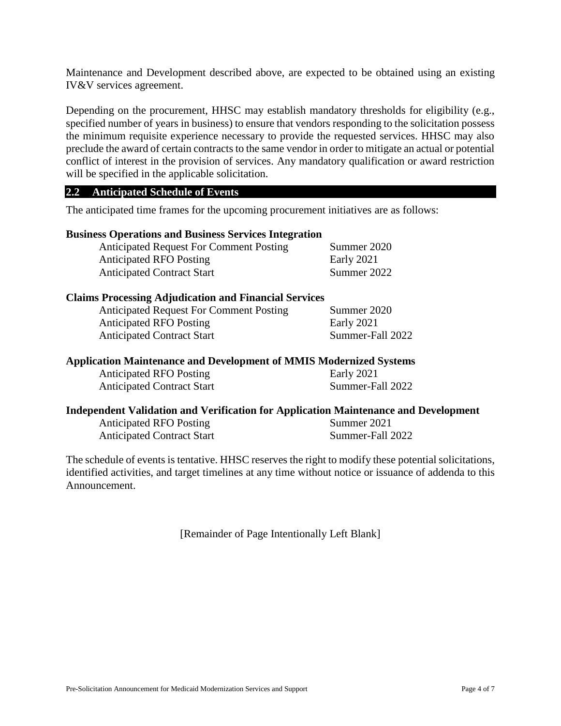Maintenance and Development described above, are expected to be obtained using an existing IV&V services agreement.

Depending on the procurement, HHSC may establish mandatory thresholds for eligibility (e.g., specified number of years in business) to ensure that vendors responding to the solicitation possess the minimum requisite experience necessary to provide the requested services. HHSC may also preclude the award of certain contracts to the same vendor in order to mitigate an actual or potential conflict of interest in the provision of services. Any mandatory qualification or award restriction will be specified in the applicable solicitation.

#### **2.2 Anticipated Schedule of Events**

The anticipated time frames for the upcoming procurement initiatives are as follows:

#### **Business Operations and Business Services Integration**

Anticipated Request For Comment Posting Summer 2020 Anticipated RFO Posting Early 2021 Anticipated Contract Start Summer 2022

#### **Claims Processing Adjudication and Financial Services**

Anticipated Request For Comment Posting Summer 2020 Anticipated RFO Posting Early 2021 Anticipated Contract Start Summer-Fall 2022

#### **Application Maintenance and Development of MMIS Modernized Systems**

Anticipated RFO Posting Early 2021 Anticipated Contract Start Summer-Fall 2022

#### **Independent Validation and Verification for Application Maintenance and Development**

Anticipated RFO Posting Summer 2021 Anticipated Contract Start Summer-Fall 2022

The schedule of events is tentative. HHSC reserves the right to modify these potential solicitations, identified activities, and target timelines at any time without notice or issuance of addenda to this Announcement.

[Remainder of Page Intentionally Left Blank]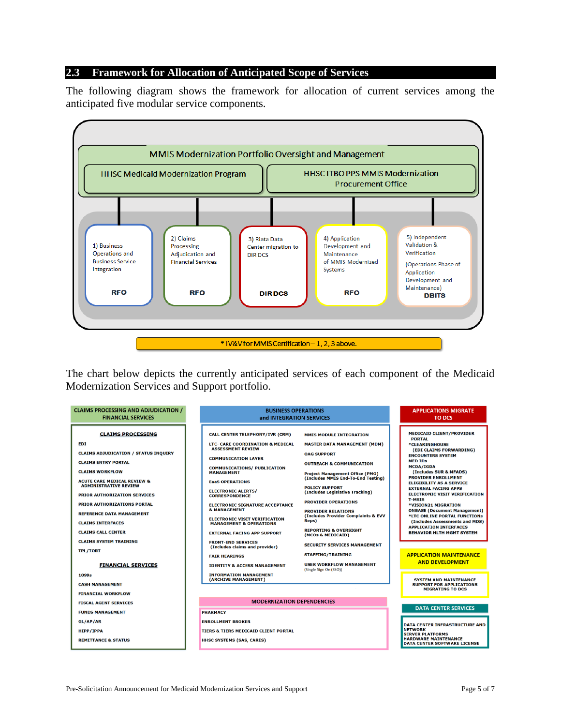#### **2.3 Framework for Allocation of Anticipated Scope of Services**

The following diagram shows the framework for allocation of current services among the anticipated five modular service components.



The chart below depicts the currently anticipated services of each component of the Medicaid Modernization Services and Support portfolio.

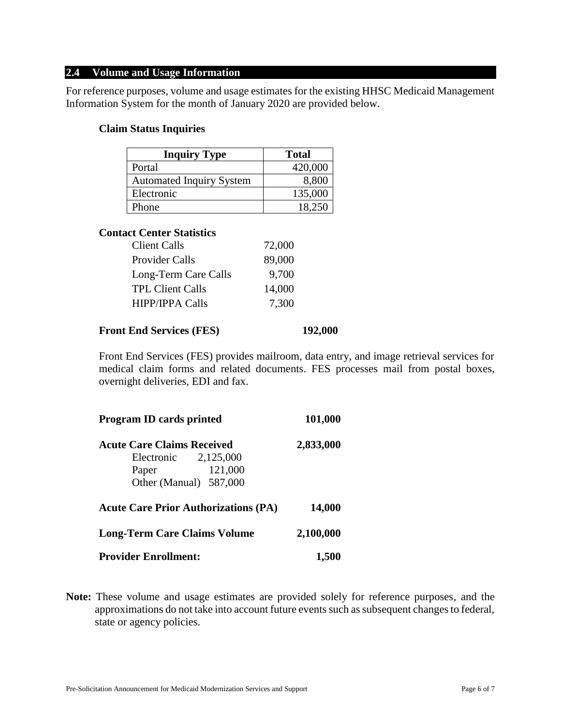#### **2.4 Volume and Usage Information**

For reference purposes, volume and usage estimates for the existing HHSC Medicaid Management Information System for the month of January 2020 are provided below.

#### **Claim Status Inquiries**

| <b>Inquiry Type</b>             | <b>Total</b> |
|---------------------------------|--------------|
| Portal                          | 420,000      |
| <b>Automated Inquiry System</b> | 8,800        |
| Electronic                      | 135,000      |
| Phone                           | 18.250       |

#### **Contact Center Statistics**

| <b>Client Calls</b>     | 72,000 |
|-------------------------|--------|
| Provider Calls          | 89,000 |
| Long-Term Care Calls    | 9,700  |
| <b>TPL Client Calls</b> | 14,000 |
| <b>HIPP/IPPA Calls</b>  | 7,300  |

#### **Front End Services (FES) 192,000**

Front End Services (FES) provides mailroom, data entry, and image retrieval services for medical claim forms and related documents. FES processes mail from postal boxes, overnight deliveries, EDI and fax.

| <b>Program ID cards printed</b>             | 101,000   |
|---------------------------------------------|-----------|
| <b>Acute Care Claims Received</b>           | 2,833,000 |
| Electronic $2,125,000$                      |           |
| 121,000<br>Paper                            |           |
| Other (Manual) 587,000                      |           |
| <b>Acute Care Prior Authorizations (PA)</b> | 14,000    |
| <b>Long-Term Care Claims Volume</b>         | 2,100,000 |
| <b>Provider Enrollment:</b>                 | 1.500     |

**Note:** These volume and usage estimates are provided solely for reference purposes, and the approximations do not take into account future events such as subsequent changes to federal, state or agency policies.